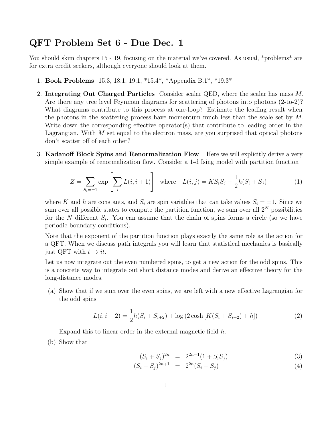## QFT Problem Set 6 - Due Dec. 1

You should skim chapters 15 - 19, focusing on the material we've covered. As usual, \*problems\* are for extra credit seekers, although everyone should look at them.

- 1. Book Problems 15.3, 18.1, 19.1, \*15.4\*, \*Appendix B.1\*, \*19.3\*
- 2. Integrating Out Charged Particles Consider scalar QED, where the scalar has mass M. Are there any tree level Feynman diagrams for scattering of photons into photons (2-to-2)? What diagrams contribute to this process at one-loop? Estimate the leading result when the photons in the scattering process have momentum much less than the scale set by  $M$ . Write down the corresponding effective operator(s) that contribute to leading order in the Lagrangian. With  $M$  set equal to the electron mass, are you surprised that optical photons don't scatter off of each other?
- 3. Kadanoff Block Spins and Renormalization Flow Here we will explicitly derive a very simple example of renormalization flow. Consider a 1-d Ising model with partition function

$$
Z = \sum_{S_i = \pm 1} \exp\left[\sum_i L(i, i+1)\right] \quad \text{where} \quad L(i,j) = KS_i S_j + \frac{1}{2}h(S_i + S_j) \tag{1}
$$

where K and h are constants, and  $S_i$  are spin variables that can take values  $S_i = \pm 1$ . Since we sum over all possible states to compute the partition function, we sum over all  $2^N$  possibilities for the N different  $S_i$ . You can assume that the chain of spins forms a circle (so we have periodic boundary conditions).

Note that the exponent of the partition function plays exactly the same role as the action for a QFT. When we discuss path integrals you will learn that statistical mechanics is basically just QFT with  $t \to it$ .

Let us now integrate out the even numbered spins, to get a new action for the odd spins. This is a concrete way to integrate out short distance modes and derive an effective theory for the long-distance modes.

(a) Show that if we sum over the even spins, we are left with a new effective Lagrangian for the odd spins

$$
\tilde{L}(i, i+2) = \frac{1}{2}h(S_i + S_{i+2}) + \log(2 \cosh[K(S_i + S_{i+2}) + h])
$$
\n(2)

Expand this to linear order in the external magnetic field h.

(b) Show that

$$
(S_i + S_j)^{2n} = 2^{2n-1}(1 + S_i S_j)
$$
\n(3)

$$
(S_i + S_j)^{2n+1} = 2^{2n}(S_i + S_j)
$$
\n(4)